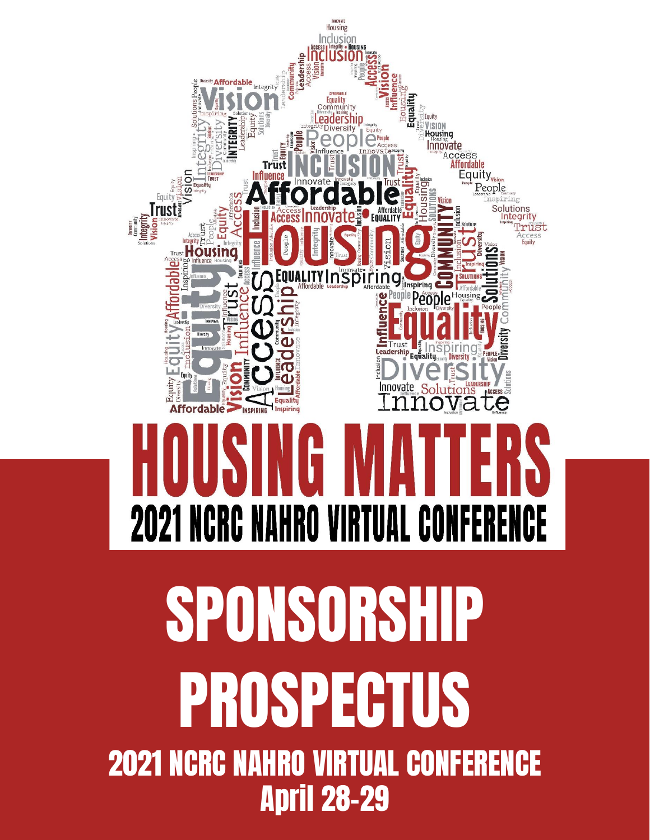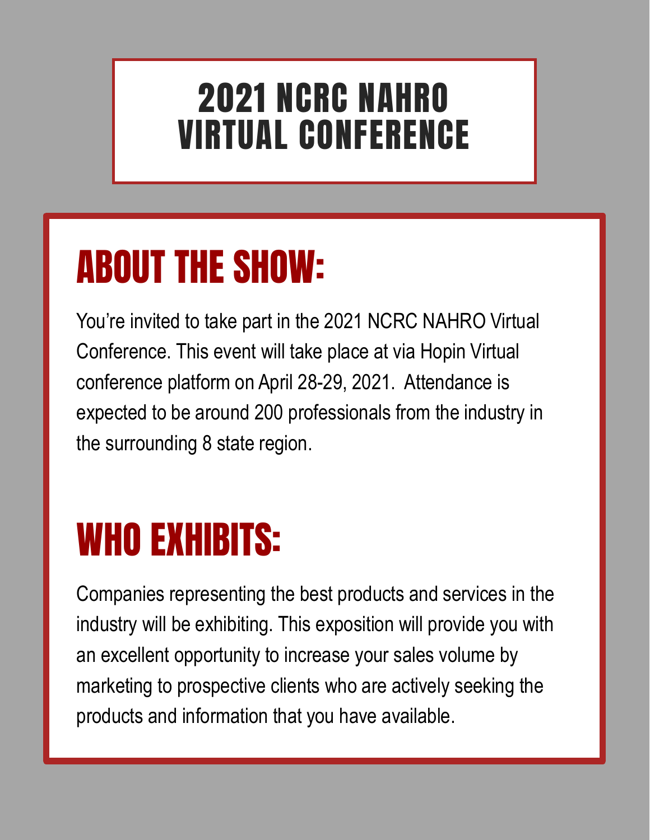### 2021 NCRC NAHRO VIRTUAL CONFERENCE

### ABOUT THE SHOW:

You're invited to take part in the 2021 NCRC NAHRO Virtual Conference. This event will take place at via Hopin Virtual conference platform on April 28-29, 2021. Attendance is expected to be around 200 professionals from the industry in the surrounding 8 state region.

### WHO EXHIBITS:

Companies representing the best products and services in the industry will be exhibiting. This exposition will provide you with an excellent opportunity to increase your sales volume by marketing to prospective clients who are actively seeking the products and information that you have available.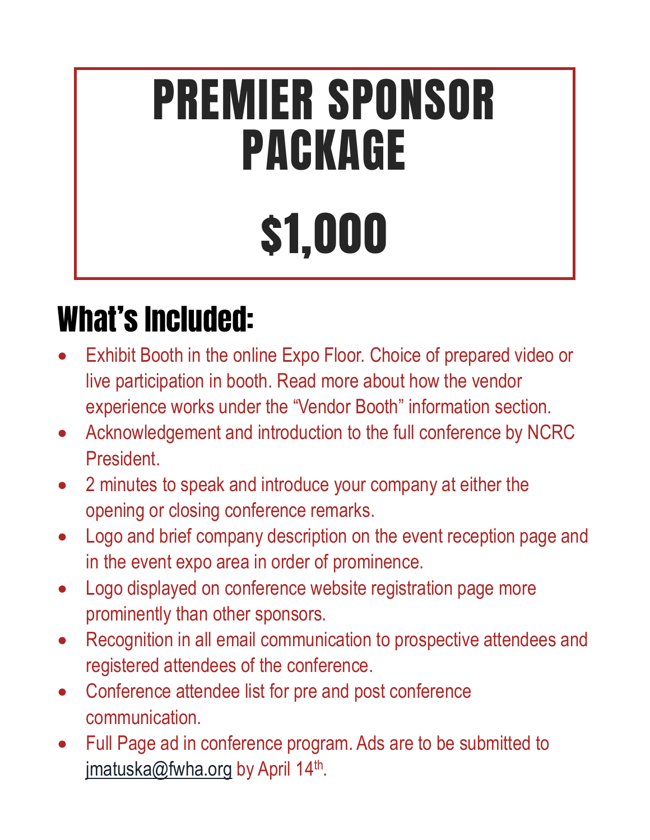# PREMIER SPONSOR PACKAGE \$1,000

### What's Included:

- Exhibit Booth in the online Expo Floor. Choice of prepared video or live participation in booth. Read more about how the vendor experience works under the "Vendor Booth" information section.
- Acknowledgement and introduction to the full conference by NCRC President.
- 2 minutes to speak and introduce your company at either the opening or closing conference remarks.
- Logo and brief company description on the event reception page and in the event expo area in order of prominence.
- Logo displayed on conference website registration page more prominently than other sponsors.
- Recognition in all email communication to prospective attendees and registered attendees of the conference.
- Conference attendee list for pre and post conference communication.
- Full Page ad in conference program. Ads are to be submitted to [jmatuska@fwha.org](mailto:jmatuska@fwha.org) by April 14<sup>th</sup>.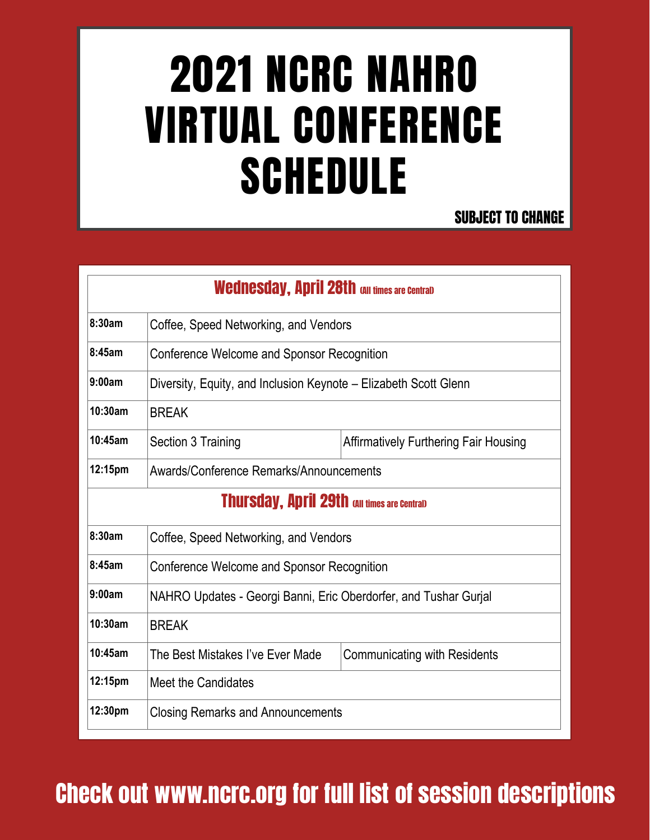## 2021 NCRC NAHRO VIRTUAL CONFERENCE **SCHEDULE**

#### SUBJECT TO CHANGE

|         | <b>Wednesday, April 28th all times are Central)</b>              |                                              |
|---------|------------------------------------------------------------------|----------------------------------------------|
| 8:30am  | Coffee, Speed Networking, and Vendors                            |                                              |
| 8:45am  | Conference Welcome and Sponsor Recognition                       |                                              |
| 9:00am  | Diversity, Equity, and Inclusion Keynote – Elizabeth Scott Glenn |                                              |
| 10:30am | <b>BREAK</b>                                                     |                                              |
| 10:45am | Section 3 Training                                               | <b>Affirmatively Furthering Fair Housing</b> |
| 12:15pm | Awards/Conference Remarks/Announcements                          |                                              |
|         | <b>Thursday, April 29th and times are Central)</b>               |                                              |
| 8:30am  | Coffee, Speed Networking, and Vendors                            |                                              |
| 8:45am  | Conference Welcome and Sponsor Recognition                       |                                              |
| 9:00am  | NAHRO Updates - Georgi Banni, Eric Oberdorfer, and Tushar Gurial |                                              |
| 10:30am | <b>BREAK</b>                                                     |                                              |
| 10:45am | The Best Mistakes I've Ever Made                                 | <b>Communicating with Residents</b>          |
| 12:15pm | Meet the Candidates                                              |                                              |
| 12:30pm | <b>Closing Remarks and Announcements</b>                         |                                              |

### Check out www.ncrc.org for full list of session descriptions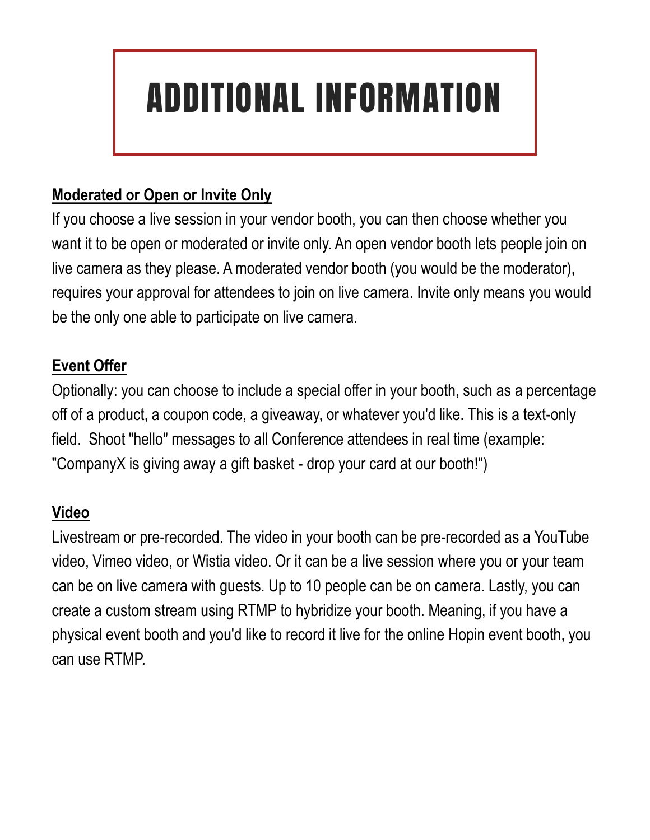### ADDITIONAL INFORMATION

#### **Moderated or Open or Invite Only**

If you choose a live session in your vendor booth, you can then choose whether you want it to be open or moderated or invite only. An open vendor booth lets people join on live camera as they please. A moderated vendor booth (you would be the moderator), requires your approval for attendees to join on live camera. Invite only means you would be the only one able to participate on live camera.

#### **Event Offer**

Optionally: you can choose to include a special offer in your booth, such as a percentage off of a product, a coupon code, a giveaway, or whatever you'd like. This is a text-only field. Shoot "hello" messages to all Conference attendees in real time (example: "CompanyX is giving away a gift basket - drop your card at our booth!")

#### **Video**

Livestream or pre-recorded. The video in your booth can be pre-recorded as a YouTube video, Vimeo video, or Wistia video. Or it can be a live session where you or your team can be on live camera with guests. Up to 10 people can be on camera. Lastly, you can create a custom stream using RTMP to hybridize your booth. Meaning, if you have a physical event booth and you'd like to record it live for the online Hopin event booth, you can use RTMP.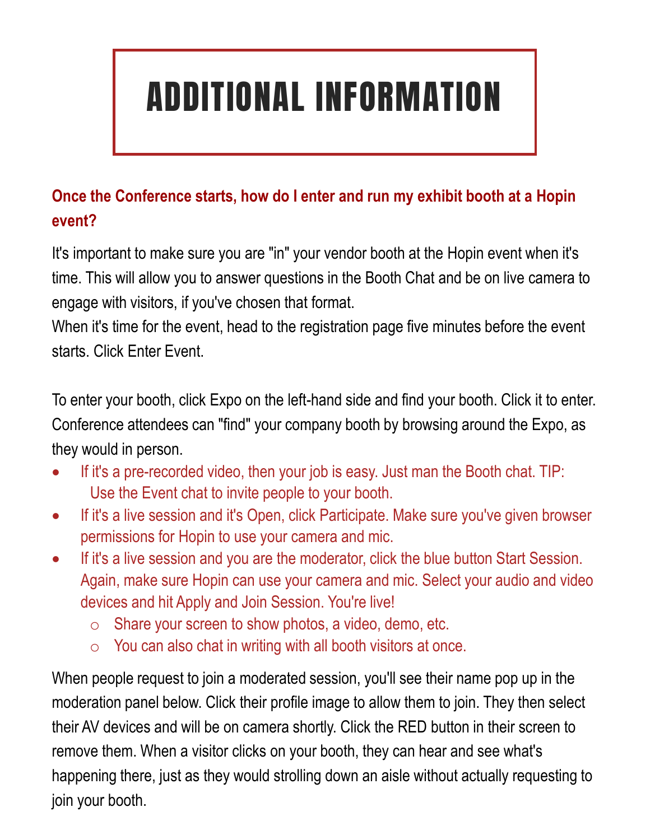### ADDITIONAL INFORMATION

#### **Once the Conference starts, how do I enter and run my exhibit booth at a Hopin event?**

It's important to make sure you are "in" your vendor booth at the Hopin event when it's time. This will allow you to answer questions in the Booth Chat and be on live camera to engage with visitors, if you've chosen that format.

When it's time for the event, head to the registration page five minutes before the event starts. Click Enter Event.

To enter your booth, click Expo on the left-hand side and find your booth. Click it to enter. Conference attendees can "find" your company booth by browsing around the Expo, as they would in person.

- If it's a pre-recorded video, then your job is easy. Just man the Booth chat. TIP: Use the Event chat to invite people to your booth.
- If it's a live session and it's Open, click Participate. Make sure you've given browser permissions for Hopin to use your camera and mic.
- If it's a live session and you are the moderator, click the blue button Start Session. Again, make sure Hopin can use your camera and mic. Select your audio and video devices and hit Apply and Join Session. You're live!
	- o Share your screen to show photos, a video, demo, etc.
	- $\circ$  You can also chat in writing with all booth visitors at once.

When people request to join a moderated session, you'll see their name pop up in the moderation panel below. Click their profile image to allow them to join. They then select their AV devices and will be on camera shortly. Click the RED button in their screen to remove them. When a visitor clicks on your booth, they can hear and see what's happening there, just as they would strolling down an aisle without actually requesting to join your booth.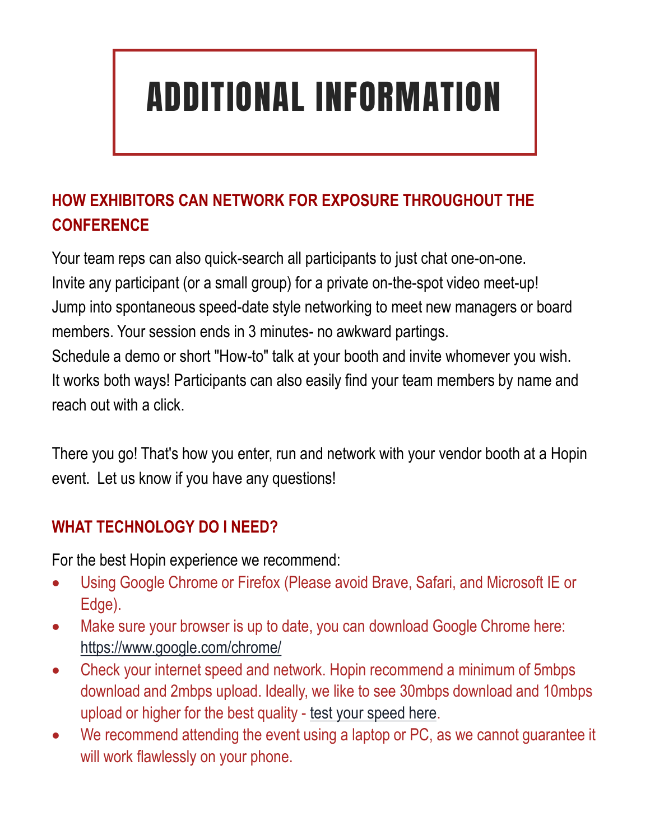### ADDITIONAL INFORMATION

#### **HOW EXHIBITORS CAN NETWORK FOR EXPOSURE THROUGHOUT THE CONFERENCE**

Your team reps can also quick-search all participants to just chat one-on-one. Invite any participant (or a small group) for a private on-the-spot video meet-up! Jump into spontaneous speed-date style networking to meet new managers or board members. Your session ends in 3 minutes- no awkward partings. Schedule a demo or short "How-to" talk at your booth and invite whomever you wish. It works both ways! Participants can also easily find your team members by name and reach out with a click.

There you go! That's how you enter, run and network with your vendor booth at a Hopin event. Let us know if you have any questions!

#### **WHAT TECHNOLOGY DO I NEED?**

For the best Hopin experience we recommend:

- Using Google Chrome or Firefox (Please avoid Brave, Safari, and Microsoft IE or Edge).
- Make sure your browser is up to date, you can download Google Chrome here: <https://www.google.com/chrome/>
- Check your internet speed and network. Hopin recommend a minimum of 5mbps download and 2mbps upload. Ideally, we like to see 30mbps download and 10mbps upload or higher for the best quality - [test your speed here.](https://www.speedtest.net/)
- We recommend attending the event using a laptop or PC, as we cannot guarantee it will work flawlessly on your phone.